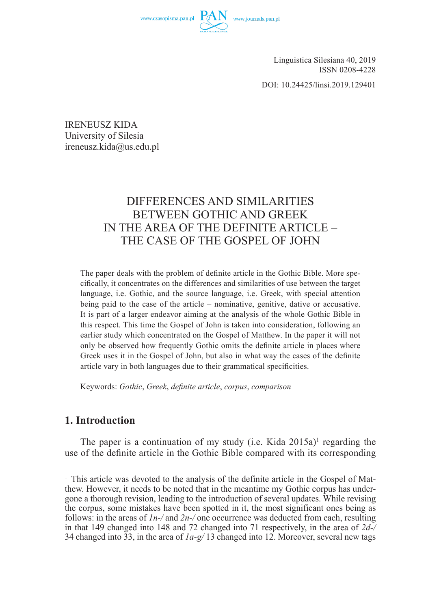www.czasopisma.pan.pl



Linguistica Silesiana 40, 2019 ISSN 0208-4228

DOI: 10.24425/linsi.2019.129401

IRENEUSZ KIDA University of Silesia ireneusz.kida@us.edu.pl

# DIFFERENCES AND SIMILARITIES BETWEEN GOTHIC AND GREEK IN THE AREA OF THE DEFINITE ARTICLE – THE CASE OF THE GOSPEL OF JOHN

The paper deals with the problem of definite article in the Gothic Bible. More specifi cally, it concentrates on the differences and similarities of use between the target language, i.e. Gothic, and the source language, i.e. Greek, with special attention being paid to the case of the article – nominative, genitive, dative or accusative. It is part of a larger endeavor aiming at the analysis of the whole Gothic Bible in this respect. This time the Gospel of John is taken into consideration, following an earlier study which concentrated on the Gospel of Matthew. In the paper it will not only be observed how frequently Gothic omits the definite article in places where Greek uses it in the Gospel of John, but also in what way the cases of the definite article vary in both languages due to their grammatical specificities.

Keywords: *Gothic*, *Greek*, *defi nite article*, *corpus*, *comparison*

### **1. Introduction**

The paper is a continuation of my study (i.e. Kida  $2015a$ )<sup>1</sup> regarding the use of the definite article in the Gothic Bible compared with its corresponding

<sup>1</sup> This article was devoted to the analysis of the definite article in the Gospel of Matthew. However, it needs to be noted that in the meantime my Gothic corpus has undergone a thorough revision, leading to the introduction of several updates. While revising the corpus, some mistakes have been spotted in it, the most significant ones being as follows: in the areas of *1n-/* and *2n-/* one occurrence was deducted from each, resulting in that 149 changed into 148 and 72 changed into 71 respectively, in the area of *2d-/* 34 changed into 33, in the area of *1a-g/* 13 changed into 12. Moreover, several new tags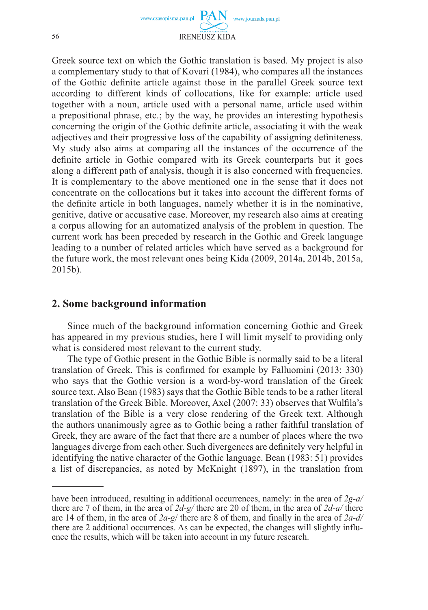

Greek source text on which the Gothic translation is based. My project is also a complementary study to that of Kovari (1984), who compares all the instances of the Gothic definite article against those in the parallel Greek source text according to different kinds of collocations, like for example: article used together with a noun, article used with a personal name, article used within a prepositional phrase, etc.; by the way, he provides an interesting hypothesis concerning the origin of the Gothic definite article, associating it with the weak adjectives and their progressive loss of the capability of assigning definiteness. My study also aims at comparing all the instances of the occurrence of the definite article in Gothic compared with its Greek counterparts but it goes along a different path of analysis, though it is also concerned with frequencies. It is complementary to the above mentioned one in the sense that it does not concentrate on the collocations but it takes into account the different forms of the definite article in both languages, namely whether it is in the nominative. genitive, dative or accusative case. Moreover, my research also aims at creating a corpus allowing for an automatized analysis of the problem in question. The current work has been preceded by research in the Gothic and Greek language leading to a number of related articles which have served as a background for the future work, the most relevant ones being Kida (2009, 2014a, 2014b, 2015a, 2015b).

### **2. Some background information**

Since much of the background information concerning Gothic and Greek has appeared in my previous studies, here I will limit myself to providing only what is considered most relevant to the current study.

The type of Gothic present in the Gothic Bible is normally said to be a literal translation of Greek. This is confirmed for example by Falluomini  $(2013: 330)$ who says that the Gothic version is a word-by-word translation of the Greek source text. Also Bean (1983) says that the Gothic Bible tends to be a rather literal translation of the Greek Bible. Moreover, Axel (2007: 33) observes that Wulfila's translation of the Bible is a very close rendering of the Greek text. Although the authors unanimously agree as to Gothic being a rather faithful translation of Greek, they are aware of the fact that there are a number of places where the two languages diverge from each other. Such divergences are definitely very helpful in identifying the native character of the Gothic language. Bean (1983: 51) provides a list of discrepancies, as noted by McKnight (1897), in the translation from

have been introduced, resulting in additional occurrences, namely: in the area of *2g-a/*  there are 7 of them, in the area of *2d-g/* there are 20 of them, in the area of *2d-a/* there are 14 of them, in the area of *2a-g*/ there are 8 of them, and finally in the area of *2a-d/* there are 2 additional occurrences. As can be expected, the changes will slightly influence the results, which will be taken into account in my future research.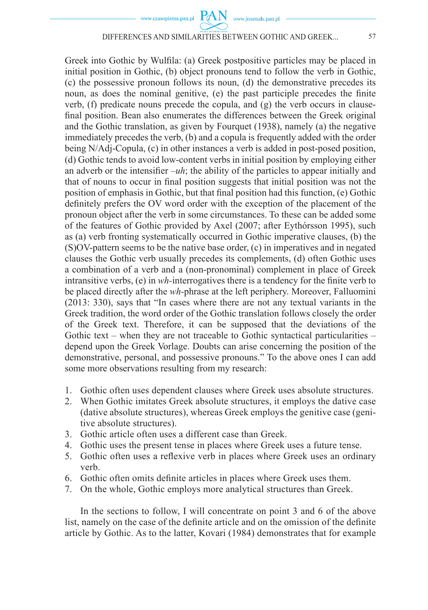Greek into Gothic by Wulfila: (a) Greek postpositive particles may be placed in initial position in Gothic, (b) object pronouns tend to follow the verb in Gothic, (c) the possessive pronoun follows its noun, (d) the demonstrative precedes its noun, as does the nominal genitive, (e) the past participle precedes the finite verb, (f) predicate nouns precede the copula, and (g) the verb occurs in clausefinal position. Bean also enumerates the differences between the Greek original and the Gothic translation, as given by Fourquet (1938), namely (a) the negative immediately precedes the verb, (b) and a copula is frequently added with the order being N/Adj-Copula, (c) in other instances a verb is added in post-posed position, (d) Gothic tends to avoid low-content verbs in initial position by employing either an adverb or the intensifier  $-\mu h$ ; the ability of the particles to appear initially and that of nouns to occur in final position suggests that initial position was not the position of emphasis in Gothic, but that final position had this function,  $(e)$  Gothic definitely prefers the OV word order with the exception of the placement of the pronoun object after the verb in some circumstances. To these can be added some of the features of Gothic provided by Axel (2007; after Eythórsson 1995), such as (a) verb fronting systematically occurred in Gothic imperative clauses, (b) the (S)OV-pattern seems to be the native base order, (c) in imperatives and in negated clauses the Gothic verb usually precedes its complements, (d) often Gothic uses a combination of a verb and a (non-pronominal) complement in place of Greek intransitive verbs, (e) in *wh*-interrogatives there is a tendency for the finite verb to be placed directly after the *wh-*phrase at the left periphery. Moreover, Falluomini (2013: 330), says that "In cases where there are not any textual variants in the Greek tradition, the word order of the Gothic translation follows closely the order of the Greek text. Therefore, it can be supposed that the deviations of the Gothic text – when they are not traceable to Gothic syntactical particularities – depend upon the Greek Vorlage. Doubts can arise concerning the position of the demonstrative, personal, and possessive pronouns." To the above ones I can add some more observations resulting from my research:

- 1. Gothic often uses dependent clauses where Greek uses absolute structures.
- 2. When Gothic imitates Greek absolute structures, it employs the dative case (dative absolute structures), whereas Greek employs the genitive case (genitive absolute structures).
- 3. Gothic article often uses a different case than Greek.
- 4. Gothic uses the present tense in places where Greek uses a future tense.
- 5. Gothic often uses a reflexive verb in places where Greek uses an ordinary verb.
- 6. Gothic often omits definite articles in places where Greek uses them.
- 7. On the whole, Gothic employs more analytical structures than Greek.

In the sections to follow, I will concentrate on point 3 and 6 of the above list, namely on the case of the definite article and on the omission of the definite article by Gothic. As to the latter, Kovari (1984) demonstrates that for example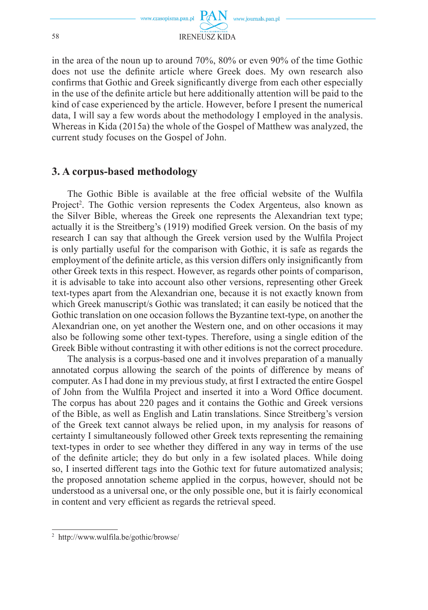

in the area of the noun up to around 70%, 80% or even 90% of the time Gothic does not use the definite article where Greek does. My own research also confirms that Gothic and Greek significantly diverge from each other especially in the use of the definite article but here additionally attention will be paid to the kind of case experienced by the article. However, before I present the numerical data, I will say a few words about the methodology I employed in the analysis. Whereas in Kida (2015a) the whole of the Gospel of Matthew was analyzed, the current study focuses on the Gospel of John.

### **3. A corpus-based methodology**

The Gothic Bible is available at the free official website of the Wulfila Project<sup>2</sup>. The Gothic version represents the Codex Argenteus, also known as the Silver Bible, whereas the Greek one represents the Alexandrian text type; actually it is the Streitberg's (1919) modified Greek version. On the basis of my research I can say that although the Greek version used by the Wulfila Project is only partially useful for the comparison with Gothic, it is safe as regards the employment of the definite article, as this version differs only insignificantly from other Greek texts in this respect. However, as regards other points of comparison, it is advisable to take into account also other versions, representing other Greek text-types apart from the Alexandrian one, because it is not exactly known from which Greek manuscript/s Gothic was translated; it can easily be noticed that the Gothic translation on one occasion follows the Byzantine text-type, on another the Alexandrian one, on yet another the Western one, and on other occasions it may also be following some other text-types. Therefore, using a single edition of the Greek Bible without contrasting it with other editions is not the correct procedure.

The analysis is a corpus-based one and it involves preparation of a manually annotated corpus allowing the search of the points of difference by means of computer. As I had done in my previous study, at first I extracted the entire Gospel of John from the Wulfila Project and inserted it into a Word Office document. The corpus has about 220 pages and it contains the Gothic and Greek versions of the Bible, as well as English and Latin translations. Since Streitberg's version of the Greek text cannot always be relied upon, in my analysis for reasons of certainty I simultaneously followed other Greek texts representing the remaining text-types in order to see whether they differed in any way in terms of the use of the definite article; they do but only in a few isolated places. While doing so, I inserted different tags into the Gothic text for future automatized analysis; the proposed annotation scheme applied in the corpus, however, should not be understood as a universal one, or the only possible one, but it is fairly economical in content and very efficient as regards the retrieval speed.

<sup>2</sup> http://www.wulfila.be/gothic/browse/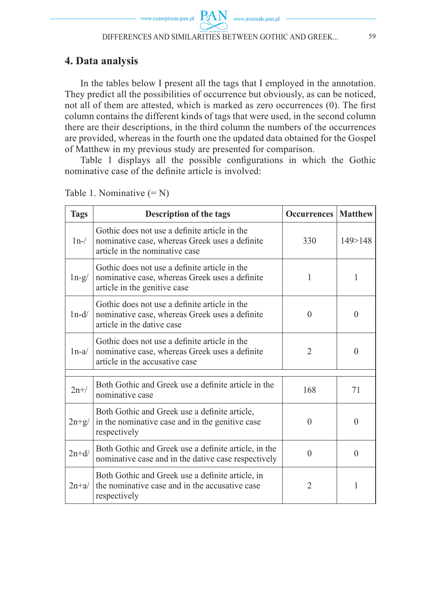## **4. Data analysis**

In the tables below I present all the tags that I employed in the annotation. They predict all the possibilities of occurrence but obviously, as can be noticed, not all of them are attested, which is marked as zero occurrences (0). The first column contains the different kinds of tags that were used, in the second column there are their descriptions, in the third column the numbers of the occurrences are provided, whereas in the fourth one the updated data obtained for the Gospel of Matthew in my previous study are presented for comparison.

Table 1 displays all the possible configurations in which the Gothic nominative case of the definite article is involved:

| <b>Tags</b> | Description of the tags                                                                                                           | <b>Occurrences</b> | <b>Matthew</b> |
|-------------|-----------------------------------------------------------------------------------------------------------------------------------|--------------------|----------------|
| $1n-$       | Gothic does not use a definite article in the<br>nominative case, whereas Greek uses a definite<br>article in the nominative case | 330                | 149 > 148      |
| $ln-g/$     | Gothic does not use a definite article in the<br>nominative case, whereas Greek uses a definite<br>article in the genitive case   | 1                  | 1              |
| $1n-d/$     | Gothic does not use a definite article in the<br>nominative case, whereas Greek uses a definite<br>article in the dative case     | $\Omega$           | $\theta$       |
| $1n-a/$     | Gothic does not use a definite article in the<br>nominative case, whereas Greek uses a definite<br>article in the accusative case | 2                  | $\theta$       |
| $2n+/-$     | Both Gothic and Greek use a definite article in the<br>nominative case                                                            | 168                | 71             |
| $2n+g/$     | Both Gothic and Greek use a definite article,<br>in the nominative case and in the genitive case<br>respectively                  | $\Omega$           | $\theta$       |
| $2n+d/$     | Both Gothic and Greek use a definite article, in the<br>nominative case and in the dative case respectively                       | $\Omega$           | $\theta$       |
| $2n+a/$     | Both Gothic and Greek use a definite article, in<br>the nominative case and in the accusative case<br>respectively                | $\overline{2}$     | 1              |

Table 1. Nominative  $(= N)$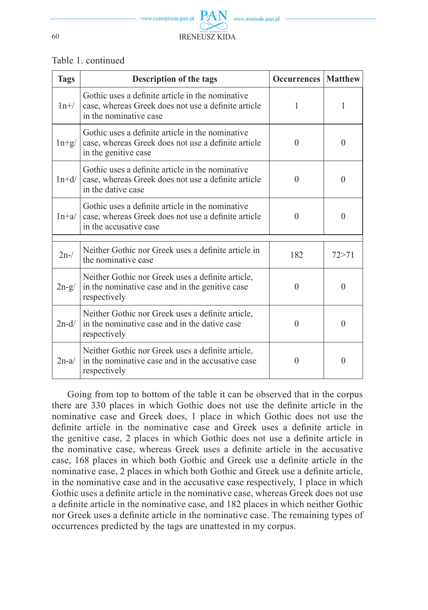

#### Table 1. continued

| <b>Tags</b> | Description of the tags                                                                                                           | <b>Occurrences   Matthew</b> |          |
|-------------|-----------------------------------------------------------------------------------------------------------------------------------|------------------------------|----------|
| $1n+/-$     | Gothic uses a definite article in the nominative<br>case, whereas Greek does not use a definite article<br>in the nominative case | 1                            | 1        |
| $ln+g/$     | Gothic uses a definite article in the nominative<br>case, whereas Greek does not use a definite article<br>in the genitive case   | $\Omega$                     | $\theta$ |
| $1n+d/$     | Gothic uses a definite article in the nominative<br>case, whereas Greek does not use a definite article<br>in the dative case     | $\Omega$                     | $\Omega$ |
| $1n+a/$     | Gothic uses a definite article in the nominative<br>case, whereas Greek does not use a definite article<br>in the accusative case | $\Omega$                     | $\Omega$ |
| $2n-$ /     | Neither Gothic nor Greek uses a definite article in<br>the nominative case                                                        | 182                          | 72 > 71  |
| $2n-g/$     | Neither Gothic nor Greek uses a definite article,<br>in the nominative case and in the genitive case<br>respectively              | $\Omega$                     | $\Omega$ |
| $2n-d/$     | Neither Gothic nor Greek uses a definite article,<br>in the nominative case and in the dative case<br>respectively                | $\Omega$                     | $\Omega$ |
| $2n-a/$     | Neither Gothic nor Greek uses a definite article,<br>in the nominative case and in the accusative case<br>respectively            | $\Omega$                     | $\Omega$ |

Going from top to bottom of the table it can be observed that in the corpus there are 330 places in which Gothic does not use the definite article in the nominative case and Greek does, 1 place in which Gothic does not use the definite article in the nominative case and Greek uses a definite article in the genitive case, 2 places in which Gothic does not use a definite article in the nominative case, whereas Greek uses a definite article in the accusative case, 168 places in which both Gothic and Greek use a definite article in the nominative case, 2 places in which both Gothic and Greek use a definite article, in the nominative case and in the accusative case respectively, 1 place in which Gothic uses a definite article in the nominative case, whereas Greek does not use a definite article in the nominative case, and 182 places in which neither Gothic nor Greek uses a definite article in the nominative case. The remaining types of occurrences predicted by the tags are unattested in my corpus.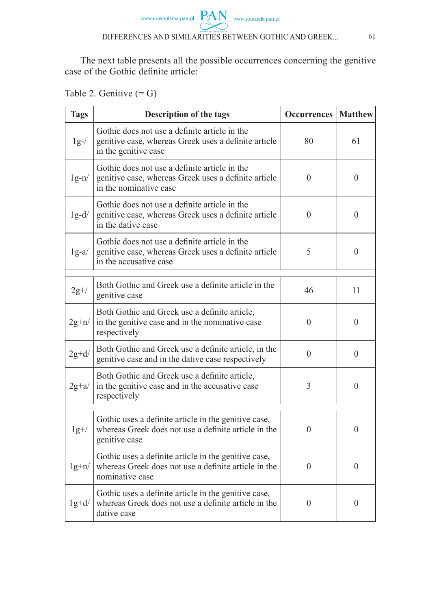

The next table presents all the possible occurrences concerning the genitive case of the Gothic definite article:

Table 2. Genitive  $(= G)$ 

| <b>Tags</b> | Description of the tags                                                                                                         | <b>Occurrences</b> | <b>Matthew</b> |
|-------------|---------------------------------------------------------------------------------------------------------------------------------|--------------------|----------------|
| $1g-$ /     | Gothic does not use a definite article in the<br>genitive case, whereas Greek uses a definite article<br>in the genitive case   | 80                 | 61             |
| $lg-n/$     | Gothic does not use a definite article in the<br>genitive case, whereas Greek uses a definite article<br>in the nominative case | $\Omega$           | $\theta$       |
| $1g-d/$     | Gothic does not use a definite article in the<br>genitive case, whereas Greek uses a definite article<br>in the dative case     | $\theta$           | $\theta$       |
| $1g-a/$     | Gothic does not use a definite article in the<br>genitive case, whereas Greek uses a definite article<br>in the accusative case | 5                  | $\theta$       |
| $2g+/-$     | Both Gothic and Greek use a definite article in the<br>genitive case                                                            | 46                 | 11             |
| $2g+n/$     | Both Gothic and Greek use a definite article,<br>in the genitive case and in the nominative case<br>respectively                | $\theta$           | $\theta$       |
| $2g+d/$     | Both Gothic and Greek use a definite article, in the<br>genitive case and in the dative case respectively                       | $\Omega$           | $\theta$       |
| $2g+a/$     | Both Gothic and Greek use a definite article,<br>in the genitive case and in the accusative case<br>respectively                | 3                  | $\theta$       |
| $lg+/-$     | Gothic uses a definite article in the genitive case,<br>whereas Greek does not use a definite article in the<br>genitive case   | $\boldsymbol{0}$   | $\theta$       |
| $lg+n/$     | Gothic uses a definite article in the genitive case,<br>whereas Greek does not use a definite article in the<br>nominative case | $\theta$           | $\theta$       |
| $1g+d/$     | Gothic uses a definite article in the genitive case,<br>whereas Greek does not use a definite article in the<br>dative case     | $\theta$           | $\left($       |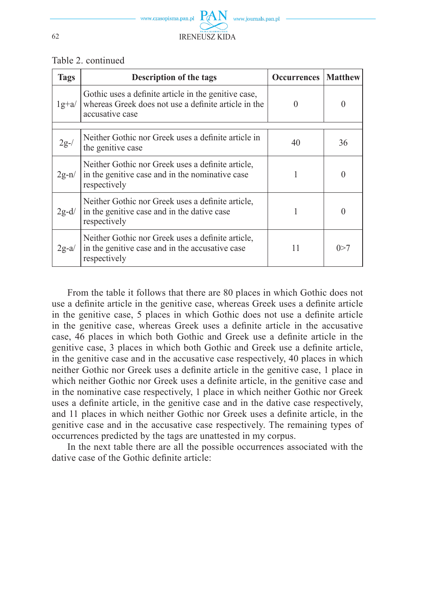

#### Table 2. continued

| <b>Tags</b> | Description of the tags                                                                                                         | <b>Occurrences</b> | <b>Matthew</b>   |
|-------------|---------------------------------------------------------------------------------------------------------------------------------|--------------------|------------------|
| $1g+a/$     | Gothic uses a definite article in the genitive case,<br>whereas Greek does not use a definite article in the<br>accusative case | $\theta$           |                  |
| $2g-$ /     | Neither Gothic nor Greek uses a definite article in<br>the genitive case                                                        | 40                 | 36               |
| $2g-n/$     | Neither Gothic nor Greek uses a definite article,<br>in the genitive case and in the nominative case<br>respectively            |                    | $\left( \right)$ |
| $2g-d/$     | Neither Gothic nor Greek uses a definite article,<br>in the genitive case and in the dative case<br>respectively                |                    | $\theta$         |
| $2g-a/$     | Neither Gothic nor Greek uses a definite article,<br>in the genitive case and in the accusative case<br>respectively            | 11                 | 0 > 7            |

From the table it follows that there are 80 places in which Gothic does not use a definite article in the genitive case, whereas Greek uses a definite article in the genitive case, 5 places in which Gothic does not use a definite article in the genitive case, whereas Greek uses a definite article in the accusative case, 46 places in which both Gothic and Greek use a definite article in the genitive case, 3 places in which both Gothic and Greek use a definite article, in the genitive case and in the accusative case respectively, 40 places in which neither Gothic nor Greek uses a definite article in the genitive case, 1 place in which neither Gothic nor Greek uses a definite article, in the genitive case and in the nominative case respectively, 1 place in which neither Gothic nor Greek uses a definite article, in the genitive case and in the dative case respectively, and 11 places in which neither Gothic nor Greek uses a definite article, in the genitive case and in the accusative case respectively. The remaining types of occurrences predicted by the tags are unattested in my corpus.

In the next table there are all the possible occurrences associated with the dative case of the Gothic definite article: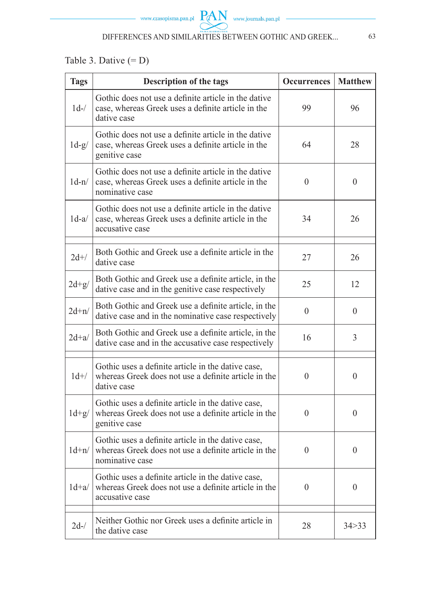# Table 3. Dative  $(= D)$

| <b>Tags</b> | Description of the tags                                                                                                           | <b>Occurrences</b> | <b>Matthew</b> |  |  |  |  |  |
|-------------|-----------------------------------------------------------------------------------------------------------------------------------|--------------------|----------------|--|--|--|--|--|
| $1d-$       | Gothic does not use a definite article in the dative<br>case, whereas Greek uses a definite article in the<br>dative case         | 99                 | 96             |  |  |  |  |  |
| $1d-g/$     | Gothic does not use a definite article in the dative<br>64<br>case, whereas Greek uses a definite article in the<br>genitive case |                    |                |  |  |  |  |  |
| $1d-n/$     | Gothic does not use a definite article in the dative<br>case, whereas Greek uses a definite article in the<br>nominative case     | $\Omega$           | $\theta$       |  |  |  |  |  |
| $1d-a/$     | Gothic does not use a definite article in the dative<br>case, whereas Greek uses a definite article in the<br>accusative case     | 34                 | 26             |  |  |  |  |  |
| $2d+/-$     | Both Gothic and Greek use a definite article in the<br>dative case                                                                | 26                 |                |  |  |  |  |  |
| $2d+g/$     | Both Gothic and Greek use a definite article, in the<br>dative case and in the genitive case respectively                         | 25                 | 12             |  |  |  |  |  |
| $2d+n/$     | Both Gothic and Greek use a definite article, in the<br>dative case and in the nominative case respectively                       | $\overline{0}$     | $\theta$       |  |  |  |  |  |
| $2d+a/$     | Both Gothic and Greek use a definite article, in the<br>dative case and in the accusative case respectively                       | 16                 | 3              |  |  |  |  |  |
| $1d+/-$     | Gothic uses a definite article in the dative case,<br>whereas Greek does not use a definite article in the<br>dative case         | $\theta$           | $\theta$       |  |  |  |  |  |
| $1d+g/$     | Gothic uses a definite article in the dative case,<br>whereas Greek does not use a definite article in the<br>genitive case       | $\theta$           | $\theta$       |  |  |  |  |  |
| $1d+n/$     | Gothic uses a definite article in the dative case,<br>whereas Greek does not use a definite article in the<br>nominative case     | $\theta$           | $\theta$       |  |  |  |  |  |
| $1d+a/$     | Gothic uses a definite article in the dative case,<br>whereas Greek does not use a definite article in the<br>accusative case     | $\theta$           | $\theta$       |  |  |  |  |  |
| $2d-$ /     | Neither Gothic nor Greek uses a definite article in<br>the dative case                                                            | 28                 | 34 > 33        |  |  |  |  |  |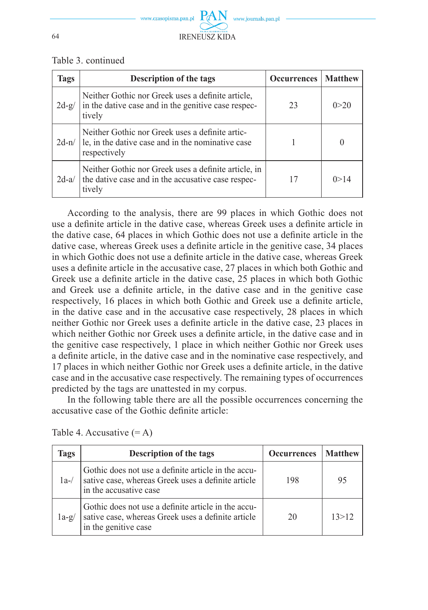

| Table 3. continued |
|--------------------|
|--------------------|

| <b>Tags</b> | <b>Description of the tags</b>                                                                                       | <b>Occurrences</b> | Matthew |
|-------------|----------------------------------------------------------------------------------------------------------------------|--------------------|---------|
| $2d-g/$     | Neither Gothic nor Greek uses a definite article,<br>in the dative case and in the genitive case respec-<br>tively   | 23                 | 0 > 20  |
| $2d-n/$     | Neither Gothic nor Greek uses a definite artic-<br>le, in the dative case and in the nominative case<br>respectively |                    |         |
| $2d-a/$     | Neither Gothic nor Greek uses a definite article, in<br>the dative case and in the accusative case respec-<br>tively | 17                 | () > 14 |

According to the analysis, there are 99 places in which Gothic does not use a definite article in the dative case, whereas Greek uses a definite article in the dative case, 64 places in which Gothic does not use a definite article in the dative case, whereas Greek uses a definite article in the genitive case, 34 places in which Gothic does not use a definite article in the dative case, whereas Greek uses a definite article in the accusative case, 27 places in which both Gothic and Greek use a definite article in the dative case, 25 places in which both Gothic and Greek use a definite article, in the dative case and in the genitive case respectively, 16 places in which both Gothic and Greek use a definite article, in the dative case and in the accusative case respectively, 28 places in which neither Gothic nor Greek uses a definite article in the dative case, 23 places in which neither Gothic nor Greek uses a definite article, in the dative case and in the genitive case respectively, 1 place in which neither Gothic nor Greek uses a definite article, in the dative case and in the nominative case respectively, and 17 places in which neither Gothic nor Greek uses a definite article, in the dative case and in the accusative case respectively. The remaining types of occurrences predicted by the tags are unattested in my corpus.

In the following table there are all the possible occurrences concerning the accusative case of the Gothic definite article:

| Tags    | Description of the tags                                                                                                             | <b>Occurrences</b> | Matthew |
|---------|-------------------------------------------------------------------------------------------------------------------------------------|--------------------|---------|
| $1a-$   | Gothic does not use a definite article in the accu-<br>sative case, whereas Greek uses a definite article<br>in the accusative case | 198                | 95      |
| $1a-g/$ | Gothic does not use a definite article in the accu-<br>sative case, whereas Greek uses a definite article<br>in the genitive case   | 20                 | 13 > 12 |

Table 4. Accusative  $(= A)$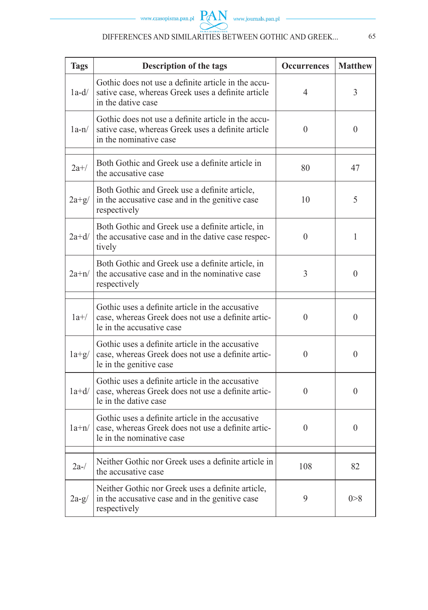| <b>Tags</b> | Description of the tags                                                                                                             | <b>Occurrences</b> | <b>Matthew</b>   |
|-------------|-------------------------------------------------------------------------------------------------------------------------------------|--------------------|------------------|
| $1a-d/$     | Gothic does not use a definite article in the accu-<br>sative case, whereas Greek uses a definite article<br>in the dative case     | 4                  | 3                |
| $1a-n/$     | Gothic does not use a definite article in the accu-<br>sative case, whereas Greek uses a definite article<br>in the nominative case | $\theta$           | $\theta$         |
| $2a+/-$     | Both Gothic and Greek use a definite article in<br>the accusative case                                                              | 80                 | 47               |
| $2a+g/$     | Both Gothic and Greek use a definite article,<br>in the accusative case and in the genitive case<br>respectively                    | 10                 | 5                |
| $2a+d/$     | Both Gothic and Greek use a definite article, in<br>the accusative case and in the dative case respec-<br>tively                    | $\Omega$           | 1                |
| $2a+n/$     | Both Gothic and Greek use a definite article, in<br>the accusative case and in the nominative case<br>respectively                  | 3                  | $\Omega$         |
| $1a+/-$     | Gothic uses a definite article in the accusative<br>case, whereas Greek does not use a definite artic-<br>le in the accusative case | $\theta$           | $\theta$         |
| $1a+g/$     | Gothic uses a definite article in the accusative<br>case, whereas Greek does not use a definite artic-<br>le in the genitive case   | $\Omega$           | $\boldsymbol{0}$ |
| $1a+d/$     | Gothic uses a definite article in the accusative<br>case, whereas Greek does not use a definite artic-<br>le in the dative case     | $\theta$           | $\theta$         |
| $1a+n/$     | Gothic uses a definite article in the accusative<br>case, whereas Greek does not use a definite artic-<br>le in the nominative case | $\theta$           | $\theta$         |
| $2a-1$      | Neither Gothic nor Greek uses a definite article in<br>the accusative case                                                          | 108                | 82               |
| $2a-g/$     | Neither Gothic nor Greek uses a definite article,<br>in the accusative case and in the genitive case<br>respectively                | 9                  | 0 > 8            |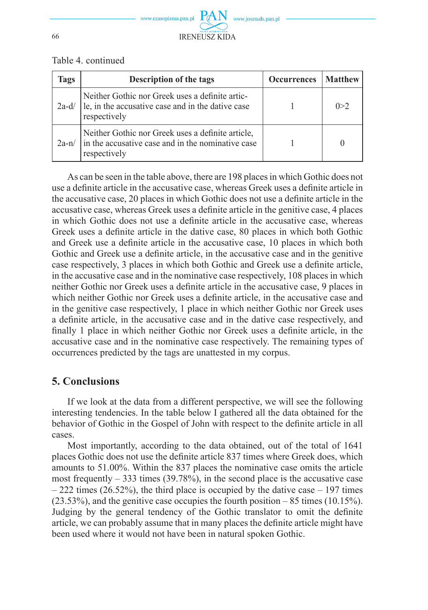

Table 4. continued

| lags    | <b>Description of the tags</b>                                                                                         | <b>Occurrences</b> | <b>Matthew</b> |
|---------|------------------------------------------------------------------------------------------------------------------------|--------------------|----------------|
| $2a-d/$ | Neither Gothic nor Greek uses a definite artic-<br>le, in the accusative case and in the dative case<br>respectively   |                    | 0>2            |
| $2a-n/$ | Neither Gothic nor Greek uses a definite article,<br>in the accusative case and in the nominative case<br>respectively |                    |                |

As can be seen in the table above, there are 198 places in which Gothic does not use a definite article in the accusative case, whereas Greek uses a definite article in the accusative case, 20 places in which Gothic does not use a definite article in the accusative case, whereas Greek uses a definite article in the genitive case. 4 places in which Gothic does not use a definite article in the accusative case, whereas Greek uses a definite article in the dative case, 80 places in which both Gothic and Greek use a definite article in the accusative case, 10 places in which both Gothic and Greek use a definite article, in the accusative case and in the genitive case respectively, 3 places in which both Gothic and Greek use a definite article, in the accusative case and in the nominative case respectively, 108 places in which neither Gothic nor Greek uses a definite article in the accusative case, 9 places in which neither Gothic nor Greek uses a definite article, in the accusative case and in the genitive case respectively, 1 place in which neither Gothic nor Greek uses a definite article, in the accusative case and in the dative case respectively, and finally 1 place in which neither Gothic nor Greek uses a definite article, in the accusative case and in the nominative case respectively. The remaining types of occurrences predicted by the tags are unattested in my corpus.

## **5. Conclusions**

If we look at the data from a different perspective, we will see the following interesting tendencies. In the table below I gathered all the data obtained for the behavior of Gothic in the Gospel of John with respect to the definite article in all cases.

Most importantly, according to the data obtained, out of the total of 1641 places Gothic does not use the definite article 837 times where Greek does, which amounts to 51.00%. Within the 837 places the nominative case omits the article most frequently  $-$  333 times (39.78%), in the second place is the accusative case  $-222$  times (26.52%), the third place is occupied by the dative case  $-197$  times (23.53%), and the genitive case occupies the fourth position – 85 times (10.15%). Judging by the general tendency of the Gothic translator to omit the definite article, we can probably assume that in many places the definite article might have been used where it would not have been in natural spoken Gothic.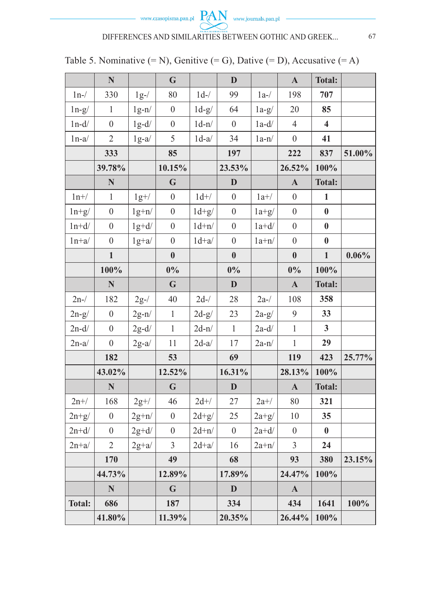

|               | N                |         | G                |         | D                |         | $\mathbf{A}$     | <b>Total:</b> |        |
|---------------|------------------|---------|------------------|---------|------------------|---------|------------------|---------------|--------|
|               | 330              |         | 80               | $1d-$   | 99               |         | 198              | 707           |        |
| $1n-$         |                  | $1g-$ / |                  |         |                  | $1a-$   |                  |               |        |
| $ln-g/$       | $\mathbf{1}$     | $lg-n/$ | $\boldsymbol{0}$ | $1d-g/$ | 64               | $1a-g/$ | 20               | 85            |        |
| $1n-d/$       | $\overline{0}$   | $1g-d/$ | $\boldsymbol{0}$ | $1d-n/$ | $\theta$         | $1a-d/$ | $\overline{4}$   | 4             |        |
| $1n-a/$       | $\overline{2}$   | $1g-a/$ | 5                | $1d-a/$ | 34               | $1a-n/$ | $\mathbf{0}$     | 41            |        |
|               | 333              |         | 85               |         | 197              |         | 222              | 837           | 51.00% |
|               | 39.78%           |         | 10.15%           |         | 23.53%           |         | 26.52%           | 100%          |        |
|               | N                |         | G                |         | $\mathbf{D}$     |         | $\mathbf{A}$     | <b>Total:</b> |        |
| $1n+$ /       | $\mathbf{1}$     | $1g+/-$ | $\boldsymbol{0}$ | $1d+$ / | $\theta$         | $1a+$ / | $\boldsymbol{0}$ | 1             |        |
| $ln+g/$       | $\overline{0}$   | $lg+n/$ | $\boldsymbol{0}$ | $1d+g/$ | $\mathbf{0}$     | $1a+g/$ | $\mathbf{0}$     | $\bf{0}$      |        |
| $1n+d/$       | $\overline{0}$   | $1g+d/$ | $\boldsymbol{0}$ | $1d+n/$ | $\boldsymbol{0}$ | $1a+d/$ | $\boldsymbol{0}$ | $\bf{0}$      |        |
| $1n+a/$       | $\mathbf{0}$     | $lg+a/$ | $\boldsymbol{0}$ | $1d+a/$ | $\boldsymbol{0}$ | $1a+n/$ | $\boldsymbol{0}$ | $\bf{0}$      |        |
|               | $\mathbf{1}$     |         | $\bf{0}$         |         | $\bf{0}$         |         | $\bf{0}$         | $\mathbf{1}$  | 0.06%  |
|               | 100%             |         | $0\%$            |         | $0\%$            |         | $0\%$            | 100%          |        |
|               | N                |         | G                |         | D                |         | $\mathbf{A}$     | <b>Total:</b> |        |
| $2n-$ /       | 182              | $2g-$ / | 40               | $2d-$ / | 28               | $2a-$ / | 108              | 358           |        |
| $2n-g/$       | $\boldsymbol{0}$ | $2g-n/$ | $\,1$            | $2d-g/$ | 23               | $2a-g/$ | 9                | 33            |        |
| $2n-d/$       | $\overline{0}$   | $2g-d/$ | $\mathbf{1}$     | $2d-n/$ | $\mathbf{1}$     | $2a-d/$ | $\,1$            | $\mathbf{3}$  |        |
| $2n-a/$       | $\boldsymbol{0}$ | $2g-a/$ | 11               | $2d-a/$ | 17               | $2a-n/$ | $\mathbf{1}$     | 29            |        |
|               | 182              |         | 53               |         | 69               |         | 119              | 423           | 25.77% |
|               | 43.02%           |         | 12.52%           |         | 16.31%           |         | 28.13%           | 100%          |        |
|               | $\mathbf N$      |         | G                |         | $\mathbf{D}$     |         | $\mathbf{A}$     | <b>Total:</b> |        |
| $2n+$ /       | 168              | $2g+/-$ | 46               | $2d+$ / | 27               | $2a+$ / | 80               | 321           |        |
| $2n+g/$       | $\boldsymbol{0}$ | $2g+n/$ | $\boldsymbol{0}$ | $2d+g/$ | 25               | $2a+g/$ | 10               | 35            |        |
| $2n+d/$       | $\boldsymbol{0}$ | $2g+d/$ | $\boldsymbol{0}$ | $2d+n/$ | $\overline{0}$   | $2a+d/$ | $\theta$         | $\bf{0}$      |        |
| $2n+a/$       | $\overline{c}$   | $2g+a/$ | 3                | $2d+a/$ | 16               | $2a+n/$ | 3                | 24            |        |
|               | 170              |         | 49               |         | 68               |         | 93               | 380           | 23.15% |
|               | 44.73%           |         | 12.89%           |         | 17.89%           |         | 24.47%           | 100%          |        |
|               | N                |         | G                |         | D                |         | $\mathbf{A}$     |               |        |
| <b>Total:</b> | 686              |         | 187              |         | 334              |         | 434              | 1641          | 100%   |
|               | 41.80%           |         | 11.39%           |         | 20.35%           |         | 26.44%           | 100%          |        |

Table 5. Nominative  $(= N)$ , Genitive  $(= G)$ , Dative  $(= D)$ , Accusative  $(= A)$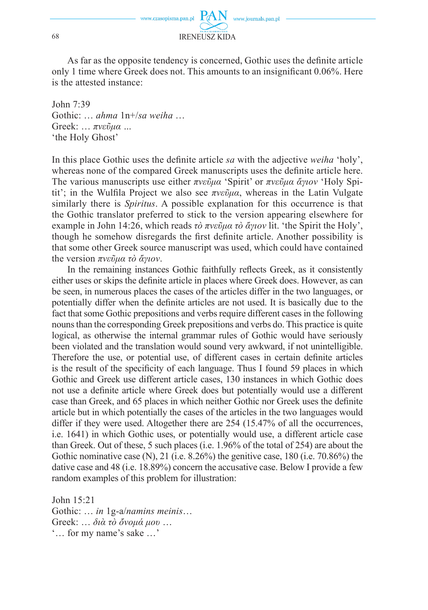

As far as the opposite tendency is concerned, Gothic uses the definite article only 1 time where Greek does not. This amounts to an insignificant  $0.06\%$ . Here is the attested instance:

John 7:39 Gothic: … *ahma* 1n+/*sa weiha* … Greek: … *πνεῦμα …* 'the Holy Ghost'

In this place Gothic uses the definite article *sa* with the adjective *weiha* 'holy', whereas none of the compared Greek manuscripts uses the definite article here. The various manuscripts use either *πνεῦμα* 'Spirit' or *πνεῦμα ἅγιον* 'Holy Spitit'; in the Wulfila Project we also see πνεῦμα, whereas in the Latin Vulgate similarly there is *Spiritus*. A possible explanation for this occurrence is that the Gothic translator preferred to stick to the version appearing elsewhere for example in John 14:26, which reads *τὸ πνεῦμα τὸ ἅγιον* lit. 'the Spirit the Holy', though he somehow disregards the first definite article. Another possibility is that some other Greek source manuscript was used, which could have contained the version *πνεῦμα τὸ ἅγιον*.

In the remaining instances Gothic faithfully reflects Greek, as it consistently either uses or skips the definite article in places where Greek does. However, as can be seen, in numerous places the cases of the articles differ in the two languages, or potentially differ when the definite articles are not used. It is basically due to the fact that some Gothic prepositions and verbs require different cases in the following nouns than the corresponding Greek prepositions and verbs do. This practice is quite logical, as otherwise the internal grammar rules of Gothic would have seriously been violated and the translation would sound very awkward, if not unintelligible. Therefore the use, or potential use, of different cases in certain definite articles is the result of the specificity of each language. Thus I found 59 places in which Gothic and Greek use different article cases, 130 instances in which Gothic does not use a definite article where Greek does but potentially would use a different case than Greek, and 65 places in which neither Gothic nor Greek uses the definite article but in which potentially the cases of the articles in the two languages would differ if they were used. Altogether there are 254 (15.47% of all the occurrences, i.e. 1641) in which Gothic uses, or potentially would use, a different article case than Greek. Out of these, 5 such places (i.e. 1.96% of the total of 254) are about the Gothic nominative case (N), 21 (i.e. 8.26%) the genitive case, 180 (i.e. 70.86%) the dative case and 48 (i.e. 18.89%) concern the accusative case. Below I provide a few random examples of this problem for illustration:

John 15:21 Gothic: … *in* 1g-a/*namins meinis*… Greek: … *διὰ τὸ ὄνομά μου* … '… for my name's sake …'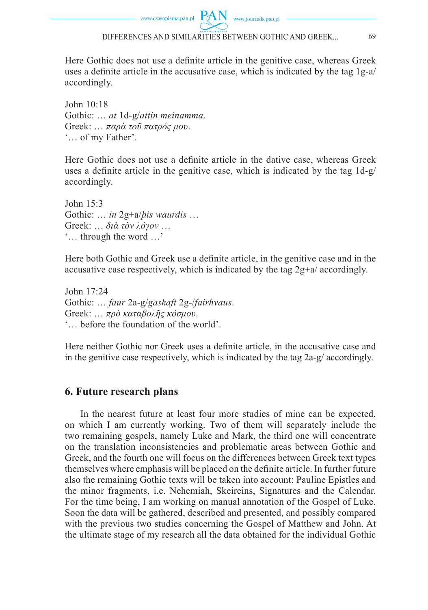Here Gothic does not use a definite article in the genitive case, whereas Greek uses a definite article in the accusative case, which is indicated by the tag  $1g-a$ accordingly.

John 10:18 Gothic: … *at* 1d-g/*attin meinamma*. Greek: … *παρὰ τοῦ πατρός μου*. '… of my Father'.

Here Gothic does not use a definite article in the dative case, whereas Greek uses a definite article in the genitive case, which is indicated by the tag  $1d-g$ accordingly.

John  $15.3$ Gothic: … *in* 2g+a/*þis waurdis* … Greek: … *διὰ τὸν λόγον* … '… through the word …'

Here both Gothic and Greek use a definite article, in the genitive case and in the accusative case respectively, which is indicated by the tag 2g+a/ accordingly.

John 17:24 Gothic: … *faur* 2a-g/*gaskaft* 2g-/*fairhvaus*. Greek: … *πρὸ καταβολῆς κόσμου*. '… before the foundation of the world'.

Here neither Gothic nor Greek uses a definite article, in the accusative case and in the genitive case respectively, which is indicated by the tag 2a-g/ accordingly.

### **6. Future research plans**

In the nearest future at least four more studies of mine can be expected, on which I am currently working. Two of them will separately include the two remaining gospels, namely Luke and Mark, the third one will concentrate on the translation inconsistencies and problematic areas between Gothic and Greek, and the fourth one will focus on the differences between Greek text types themselves where emphasis will be placed on the definite article. In further future also the remaining Gothic texts will be taken into account: Pauline Epistles and the minor fragments, i.e. Nehemiah, Skeireins, Signatures and the Calendar. For the time being, I am working on manual annotation of the Gospel of Luke. Soon the data will be gathered, described and presented, and possibly compared with the previous two studies concerning the Gospel of Matthew and John. At the ultimate stage of my research all the data obtained for the individual Gothic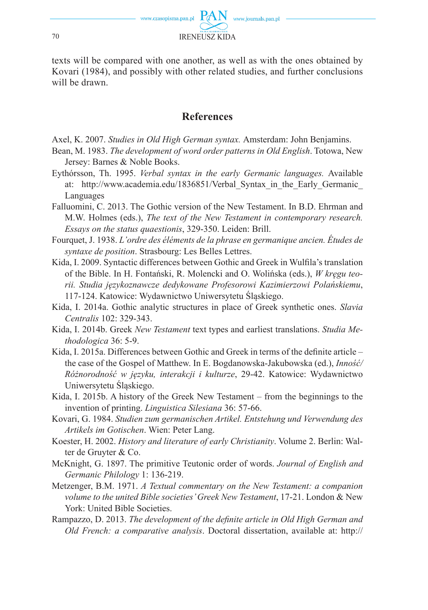

texts will be compared with one another, as well as with the ones obtained by Kovari (1984), and possibly with other related studies, and further conclusions will be drawn.

### **References**

- Axel, K. 2007. *Studies in Old High German syntax.* Amsterdam: John Benjamins.
- Bean, M. 1983. *The development of word order patterns in Old English*. Totowa, New Jersey: Barnes & Noble Books.
- Eythórsson, Th. 1995. *Verbal syntax in the early Germanic languages.* Available at: http://www.academia.edu/1836851/Verbal\_Syntax\_in\_the\_Early\_Germanic\_ Languages
- Falluomini, C. 2013. The Gothic version of the New Testament. In B.D. Ehrman and M.W. Holmes (eds.), *The text of the New Testament in contemporary research. Essays on the status quaestionis*, 329-350. Leiden: Brill.
- Fourquet, J. 1938. *L'ordre des éléments de la phrase en germanique ancien. Études de syntaxe de position*. Strasbourg: Les Belles Lettres.
- Kida, I. 2009. Syntactic differences between Gothic and Greek in Wulfila's translation of the Bible. In H. Fontański, R. Molencki and O. Wolińska (eds.), *W kręgu teorii. Studia językoznawcze dedykowane Profesorowi Kazimierzowi Polańskiemu*, 117-124. Katowice: Wydawnictwo Uniwersytetu Śląskiego.
- Kida, I. 2014a. Gothic analytic structures in place of Greek synthetic ones. *Slavia Centralis* 102: 329-343.
- Kida, I. 2014b. Greek *New Testament* text types and earliest translations. *Studia Methodologica* 36: 5-9.
- Kida, I. 2015a. Differences between Gothic and Greek in terms of the definite article the case of the Gospel of Matthew. In E. Bogdanowska-Jakubowska (ed.), *Inność/ Różnorodność w języku, interakcji i kulturze*, 29-42. Katowice: Wydawnictwo Uniwersytetu Śląskiego.
- Kida, I. 2015b. A history of the Greek New Testament from the beginnings to the invention of printing. *Linguistica Silesiana* 36: 57-66.
- Kovari, G. 1984. *Studien zum germanischen Artikel. Entstehung und Verwendung des Artikels im Gotischen*. Wien: Peter Lang.
- Koester, H. 2002. *History and literature of early Christianity*. Volume 2. Berlin: Walter de Gruyter & Co.
- McKnight, G. 1897. The primitive Teutonic order of words. *Journal of English and Germanic Philology* 1: 136-219.
- Metzenger, B.M. 1971. *A Textual commentary on the New Testament: a companion volume to the united Bible societies' Greek New Testament*, 17-21. London & New York: United Bible Societies.
- Rampazzo, D. 2013. *The development of the definite article in Old High German and Old French: a comparative analysis*. Doctoral dissertation, available at: http://